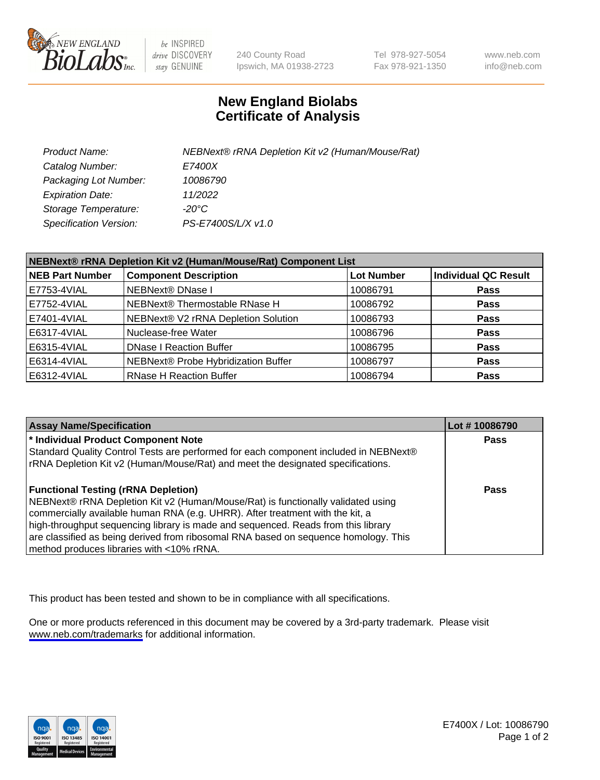

be INSPIRED drive DISCOVERY stay GENUINE

240 County Road Ipswich, MA 01938-2723 Tel 978-927-5054 Fax 978-921-1350

www.neb.com info@neb.com

## **New England Biolabs Certificate of Analysis**

| Product Name:                 | NEBNext® rRNA Depletion Kit v2 (Human/Mouse/Rat) |
|-------------------------------|--------------------------------------------------|
| Catalog Number:               | <i>E7400X</i>                                    |
| Packaging Lot Number:         | 10086790                                         |
| <b>Expiration Date:</b>       | 11/2022                                          |
| Storage Temperature:          | -20°C                                            |
| <b>Specification Version:</b> | PS-E7400S/L/X v1.0                               |

| NEBNext® rRNA Depletion Kit v2 (Human/Mouse/Rat) Component List |                                     |                   |                             |  |
|-----------------------------------------------------------------|-------------------------------------|-------------------|-----------------------------|--|
| <b>NEB Part Number</b>                                          | <b>Component Description</b>        | <b>Lot Number</b> | <b>Individual QC Result</b> |  |
| E7753-4VIAL                                                     | <b>NEBNext® DNase I</b>             | 10086791          | <b>Pass</b>                 |  |
| E7752-4VIAL                                                     | NEBNext® Thermostable RNase H       | 10086792          | <b>Pass</b>                 |  |
| E7401-4VIAL                                                     | NEBNext® V2 rRNA Depletion Solution | 10086793          | <b>Pass</b>                 |  |
| E6317-4VIAL                                                     | Nuclease-free Water                 | 10086796          | <b>Pass</b>                 |  |
| E6315-4VIAL                                                     | <b>DNase I Reaction Buffer</b>      | 10086795          | <b>Pass</b>                 |  |
| E6314-4VIAL                                                     | NEBNext® Probe Hybridization Buffer | 10086797          | <b>Pass</b>                 |  |
| E6312-4VIAL                                                     | <b>RNase H Reaction Buffer</b>      | 10086794          | <b>Pass</b>                 |  |

| <b>Assay Name/Specification</b>                                                      | Lot #10086790 |
|--------------------------------------------------------------------------------------|---------------|
| * Individual Product Component Note                                                  | <b>Pass</b>   |
| Standard Quality Control Tests are performed for each component included in NEBNext® |               |
| rRNA Depletion Kit v2 (Human/Mouse/Rat) and meet the designated specifications.      |               |
| <b>Functional Testing (rRNA Depletion)</b>                                           | <b>Pass</b>   |
| NEBNext® rRNA Depletion Kit v2 (Human/Mouse/Rat) is functionally validated using     |               |
| commercially available human RNA (e.g. UHRR). After treatment with the kit, a        |               |
| high-throughput sequencing library is made and sequenced. Reads from this library    |               |
| are classified as being derived from ribosomal RNA based on sequence homology. This  |               |
| method produces libraries with <10% rRNA.                                            |               |

This product has been tested and shown to be in compliance with all specifications.

One or more products referenced in this document may be covered by a 3rd-party trademark. Please visit <www.neb.com/trademarks>for additional information.